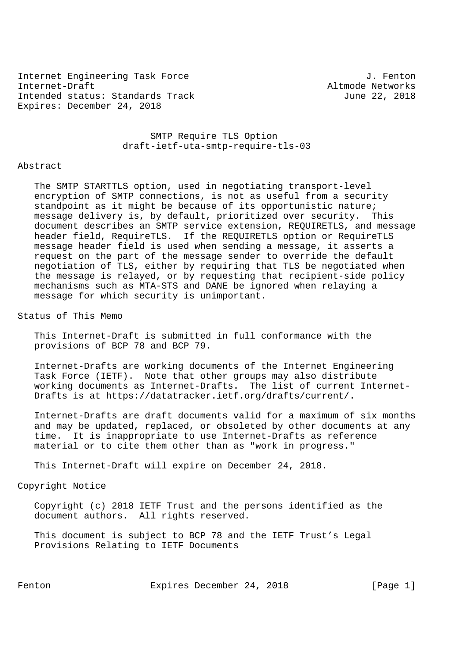Internet Engineering Task Force 30 and 1. Fenton Internet-Draft Altmode Networks Intended status: Standards Track June 22, 2018 Expires: December 24, 2018

 SMTP Require TLS Option draft-ietf-uta-smtp-require-tls-03

#### Abstract

 The SMTP STARTTLS option, used in negotiating transport-level encryption of SMTP connections, is not as useful from a security standpoint as it might be because of its opportunistic nature; message delivery is, by default, prioritized over security. This document describes an SMTP service extension, REQUIRETLS, and message header field, RequireTLS. If the REQUIRETLS option or RequireTLS message header field is used when sending a message, it asserts a request on the part of the message sender to override the default negotiation of TLS, either by requiring that TLS be negotiated when the message is relayed, or by requesting that recipient-side policy mechanisms such as MTA-STS and DANE be ignored when relaying a message for which security is unimportant.

Status of This Memo

 This Internet-Draft is submitted in full conformance with the provisions of BCP 78 and BCP 79.

 Internet-Drafts are working documents of the Internet Engineering Task Force (IETF). Note that other groups may also distribute working documents as Internet-Drafts. The list of current Internet- Drafts is at https://datatracker.ietf.org/drafts/current/.

 Internet-Drafts are draft documents valid for a maximum of six months and may be updated, replaced, or obsoleted by other documents at any time. It is inappropriate to use Internet-Drafts as reference material or to cite them other than as "work in progress."

This Internet-Draft will expire on December 24, 2018.

### Copyright Notice

 Copyright (c) 2018 IETF Trust and the persons identified as the document authors. All rights reserved.

 This document is subject to BCP 78 and the IETF Trust's Legal Provisions Relating to IETF Documents

Fenton **Expires December 24, 2018** [Page 1]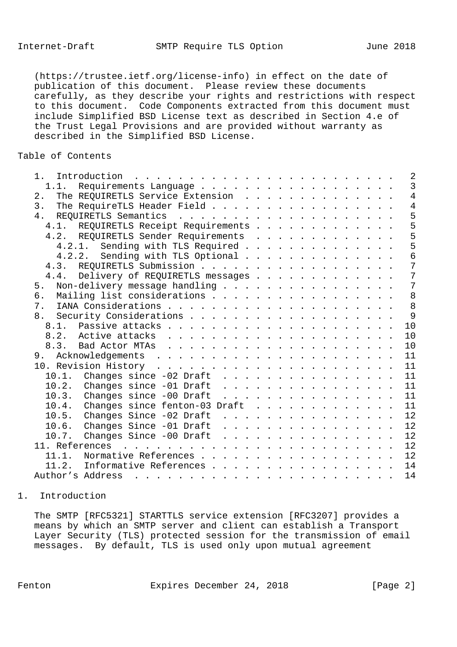(https://trustee.ietf.org/license-info) in effect on the date of publication of this document. Please review these documents carefully, as they describe your rights and restrictions with respect to this document. Code Components extracted from this document must include Simplified BSD License text as described in Section 4.e of the Trust Legal Provisions and are provided without warranty as described in the Simplified BSD License.

# Table of Contents

| Introduction<br>$1$ .<br>a construction of the construction of the construction of the construction of the construction of the construction of the construction of the construction of the construction of the construction of the construction of the                                                                                                                                                                                                                                                                          | $\overline{2}$ |
|---------------------------------------------------------------------------------------------------------------------------------------------------------------------------------------------------------------------------------------------------------------------------------------------------------------------------------------------------------------------------------------------------------------------------------------------------------------------------------------------------------------------------------|----------------|
| 1.1.                                                                                                                                                                                                                                                                                                                                                                                                                                                                                                                            | $\overline{3}$ |
| The REQUIRETLS Service Extension<br>2.                                                                                                                                                                                                                                                                                                                                                                                                                                                                                          | $\overline{4}$ |
| 3.<br>The RequireTLS Header Field                                                                                                                                                                                                                                                                                                                                                                                                                                                                                               | $\overline{4}$ |
| 4.                                                                                                                                                                                                                                                                                                                                                                                                                                                                                                                              | 5              |
| 4.1. REQUIRETLS Receipt Requirements                                                                                                                                                                                                                                                                                                                                                                                                                                                                                            | 5              |
| 4.2. REQUIRETLS Sender Requirements                                                                                                                                                                                                                                                                                                                                                                                                                                                                                             | 5              |
| 4.2.1. Sending with TLS Required                                                                                                                                                                                                                                                                                                                                                                                                                                                                                                | 5              |
| Sending with TLS Optional<br>4.2.2.                                                                                                                                                                                                                                                                                                                                                                                                                                                                                             | 6              |
|                                                                                                                                                                                                                                                                                                                                                                                                                                                                                                                                 | 7              |
| 4.4. Delivery of REQUIRETLS messages                                                                                                                                                                                                                                                                                                                                                                                                                                                                                            | 7              |
| Non-delivery message handling<br>5.                                                                                                                                                                                                                                                                                                                                                                                                                                                                                             | 7              |
| Mailing list considerations<br>6.                                                                                                                                                                                                                                                                                                                                                                                                                                                                                               | 8              |
| 7 <sub>1</sub>                                                                                                                                                                                                                                                                                                                                                                                                                                                                                                                  | 8              |
| 8.                                                                                                                                                                                                                                                                                                                                                                                                                                                                                                                              | 9              |
| 10                                                                                                                                                                                                                                                                                                                                                                                                                                                                                                                              |                |
| 10                                                                                                                                                                                                                                                                                                                                                                                                                                                                                                                              |                |
| 10                                                                                                                                                                                                                                                                                                                                                                                                                                                                                                                              |                |
| 11                                                                                                                                                                                                                                                                                                                                                                                                                                                                                                                              |                |
| 11                                                                                                                                                                                                                                                                                                                                                                                                                                                                                                                              |                |
| 10.1. Changes since -02 Draft<br>11                                                                                                                                                                                                                                                                                                                                                                                                                                                                                             |                |
| 11                                                                                                                                                                                                                                                                                                                                                                                                                                                                                                                              |                |
| 10.3.<br>Changes since -00 Draft<br>11                                                                                                                                                                                                                                                                                                                                                                                                                                                                                          |                |
| $\mathbf{1} \quad \mathbf{1} \quad \mathbf{1} \quad \mathbf{1} \quad \mathbf{1} \quad \mathbf{1} \quad \mathbf{1} \quad \mathbf{1} \quad \mathbf{1} \quad \mathbf{1} \quad \mathbf{1} \quad \mathbf{1} \quad \mathbf{1} \quad \mathbf{1} \quad \mathbf{1} \quad \mathbf{1} \quad \mathbf{1} \quad \mathbf{1} \quad \mathbf{1} \quad \mathbf{1} \quad \mathbf{1} \quad \mathbf{1} \quad \mathbf{1} \quad \mathbf{1} \quad \mathbf{1} \quad \mathbf{1} \quad \mathbf{1} \quad \mathbf{$<br>11                                     |                |
| 10.4.<br>Changes since fenton-03 Draft                                                                                                                                                                                                                                                                                                                                                                                                                                                                                          |                |
| 12<br>10.5.<br>Changes Since -02 Draft                                                                                                                                                                                                                                                                                                                                                                                                                                                                                          |                |
| 12<br>Changes Since -01 Draft<br>10.6.<br>$\mathbf{1} \quad \mathbf{1} \quad \mathbf{1} \quad \mathbf{1} \quad \mathbf{1} \quad \mathbf{1} \quad \mathbf{1} \quad \mathbf{1} \quad \mathbf{1} \quad \mathbf{1} \quad \mathbf{1} \quad \mathbf{1} \quad \mathbf{1} \quad \mathbf{1} \quad \mathbf{1} \quad \mathbf{1} \quad \mathbf{1} \quad \mathbf{1} \quad \mathbf{1} \quad \mathbf{1} \quad \mathbf{1} \quad \mathbf{1} \quad \mathbf{1} \quad \mathbf{1} \quad \mathbf{1} \quad \mathbf{1} \quad \mathbf{1} \quad \mathbf{$ |                |
| Changes Since $-00$ Draft<br>12<br>10.7.                                                                                                                                                                                                                                                                                                                                                                                                                                                                                        |                |
| 12<br>11. References .                                                                                                                                                                                                                                                                                                                                                                                                                                                                                                          |                |
| 12<br>Normative References<br>11.1.                                                                                                                                                                                                                                                                                                                                                                                                                                                                                             |                |
| 14<br>Informative References<br>11.2.                                                                                                                                                                                                                                                                                                                                                                                                                                                                                           |                |
| 14<br>Author's Address                                                                                                                                                                                                                                                                                                                                                                                                                                                                                                          |                |
|                                                                                                                                                                                                                                                                                                                                                                                                                                                                                                                                 |                |

### 1. Introduction

 The SMTP [RFC5321] STARTTLS service extension [RFC3207] provides a means by which an SMTP server and client can establish a Transport Layer Security (TLS) protected session for the transmission of email messages. By default, TLS is used only upon mutual agreement

Fenton **Expires December 24, 2018** [Page 2]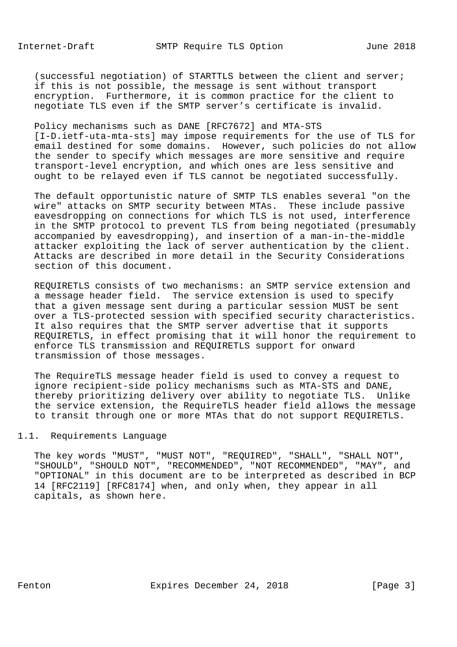(successful negotiation) of STARTTLS between the client and server; if this is not possible, the message is sent without transport encryption. Furthermore, it is common practice for the client to negotiate TLS even if the SMTP server's certificate is invalid.

 Policy mechanisms such as DANE [RFC7672] and MTA-STS [I-D.ietf-uta-mta-sts] may impose requirements for the use of TLS for email destined for some domains. However, such policies do not allow the sender to specify which messages are more sensitive and require transport-level encryption, and which ones are less sensitive and ought to be relayed even if TLS cannot be negotiated successfully.

 The default opportunistic nature of SMTP TLS enables several "on the wire" attacks on SMTP security between MTAs. These include passive eavesdropping on connections for which TLS is not used, interference in the SMTP protocol to prevent TLS from being negotiated (presumably accompanied by eavesdropping), and insertion of a man-in-the-middle attacker exploiting the lack of server authentication by the client. Attacks are described in more detail in the Security Considerations section of this document.

 REQUIRETLS consists of two mechanisms: an SMTP service extension and a message header field. The service extension is used to specify that a given message sent during a particular session MUST be sent over a TLS-protected session with specified security characteristics. It also requires that the SMTP server advertise that it supports REQUIRETLS, in effect promising that it will honor the requirement to enforce TLS transmission and REQUIRETLS support for onward transmission of those messages.

 The RequireTLS message header field is used to convey a request to ignore recipient-side policy mechanisms such as MTA-STS and DANE, thereby prioritizing delivery over ability to negotiate TLS. Unlike the service extension, the RequireTLS header field allows the message to transit through one or more MTAs that do not support REQUIRETLS.

## 1.1. Requirements Language

 The key words "MUST", "MUST NOT", "REQUIRED", "SHALL", "SHALL NOT", "SHOULD", "SHOULD NOT", "RECOMMENDED", "NOT RECOMMENDED", "MAY", and "OPTIONAL" in this document are to be interpreted as described in BCP 14 [RFC2119] [RFC8174] when, and only when, they appear in all capitals, as shown here.

Fenton **Expires December 24, 2018** [Page 3]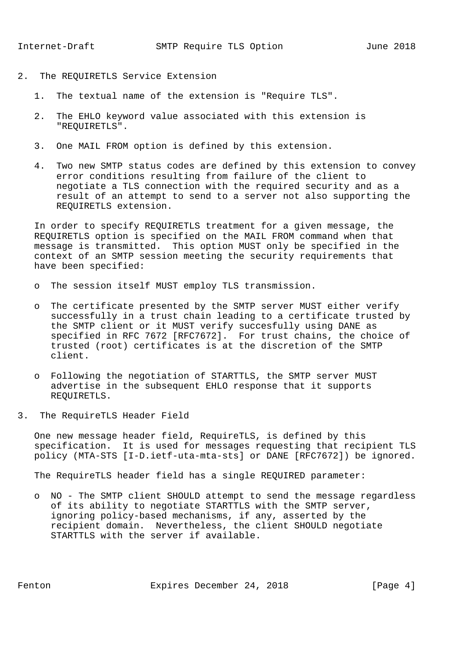- 2. The REQUIRETLS Service Extension
	- 1. The textual name of the extension is "Require TLS".
	- 2. The EHLO keyword value associated with this extension is "REQUIRETLS".
	- 3. One MAIL FROM option is defined by this extension.
	- 4. Two new SMTP status codes are defined by this extension to convey error conditions resulting from failure of the client to negotiate a TLS connection with the required security and as a result of an attempt to send to a server not also supporting the REQUIRETLS extension.

 In order to specify REQUIRETLS treatment for a given message, the REQUIRETLS option is specified on the MAIL FROM command when that message is transmitted. This option MUST only be specified in the context of an SMTP session meeting the security requirements that have been specified:

- o The session itself MUST employ TLS transmission.
- o The certificate presented by the SMTP server MUST either verify successfully in a trust chain leading to a certificate trusted by the SMTP client or it MUST verify succesfully using DANE as specified in RFC 7672 [RFC7672]. For trust chains, the choice of trusted (root) certificates is at the discretion of the SMTP client.
- o Following the negotiation of STARTTLS, the SMTP server MUST advertise in the subsequent EHLO response that it supports REQUIRETLS.
- 3. The RequireTLS Header Field

 One new message header field, RequireTLS, is defined by this specification. It is used for messages requesting that recipient TLS policy (MTA-STS [I-D.ietf-uta-mta-sts] or DANE [RFC7672]) be ignored.

The RequireTLS header field has a single REQUIRED parameter:

 o NO - The SMTP client SHOULD attempt to send the message regardless of its ability to negotiate STARTTLS with the SMTP server, ignoring policy-based mechanisms, if any, asserted by the recipient domain. Nevertheless, the client SHOULD negotiate STARTTLS with the server if available.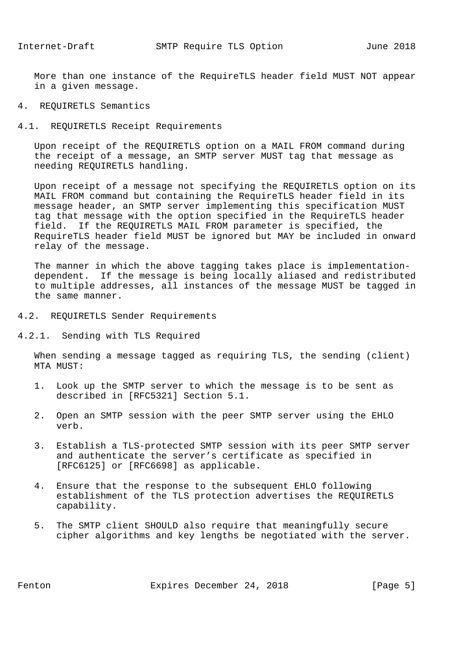More than one instance of the RequireTLS header field MUST NOT appear in a given message.

## 4. REQUIRETLS Semantics

#### 4.1. REQUIRETLS Receipt Requirements

 Upon receipt of the REQUIRETLS option on a MAIL FROM command during the receipt of a message, an SMTP server MUST tag that message as needing REQUIRETLS handling.

 Upon receipt of a message not specifying the REQUIRETLS option on its MAIL FROM command but containing the RequireTLS header field in its message header, an SMTP server implementing this specification MUST tag that message with the option specified in the RequireTLS header field. If the REQUIRETLS MAIL FROM parameter is specified, the RequireTLS header field MUST be ignored but MAY be included in onward relay of the message.

 The manner in which the above tagging takes place is implementation dependent. If the message is being locally aliased and redistributed to multiple addresses, all instances of the message MUST be tagged in the same manner.

- 4.2. REQUIRETLS Sender Requirements
- 4.2.1. Sending with TLS Required

 When sending a message tagged as requiring TLS, the sending (client) MTA MUST:

- 1. Look up the SMTP server to which the message is to be sent as described in [RFC5321] Section 5.1.
- 2. Open an SMTP session with the peer SMTP server using the EHLO verb.
- 3. Establish a TLS-protected SMTP session with its peer SMTP server and authenticate the server's certificate as specified in [RFC6125] or [RFC6698] as applicable.
- 4. Ensure that the response to the subsequent EHLO following establishment of the TLS protection advertises the REQUIRETLS capability.
- 5. The SMTP client SHOULD also require that meaningfully secure cipher algorithms and key lengths be negotiated with the server.

Fenton Expires December 24, 2018 [Page 5]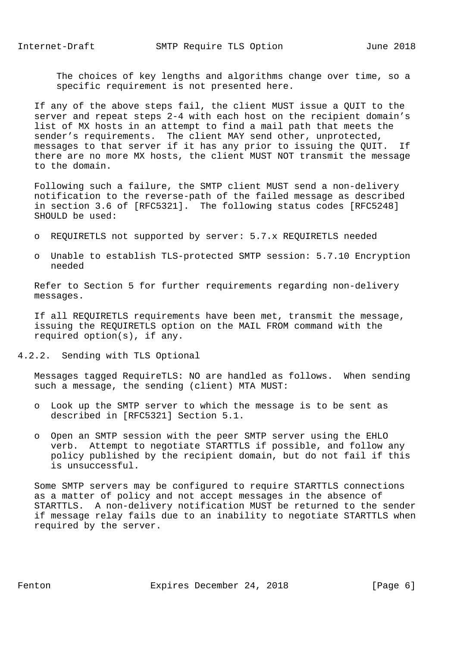The choices of key lengths and algorithms change over time, so a specific requirement is not presented here.

 If any of the above steps fail, the client MUST issue a QUIT to the server and repeat steps 2-4 with each host on the recipient domain's list of MX hosts in an attempt to find a mail path that meets the sender's requirements. The client MAY send other, unprotected, messages to that server if it has any prior to issuing the QUIT. If there are no more MX hosts, the client MUST NOT transmit the message to the domain.

 Following such a failure, the SMTP client MUST send a non-delivery notification to the reverse-path of the failed message as described in section 3.6 of [RFC5321]. The following status codes [RFC5248] SHOULD be used:

- o REQUIRETLS not supported by server: 5.7.x REQUIRETLS needed
- o Unable to establish TLS-protected SMTP session: 5.7.10 Encryption needed

 Refer to Section 5 for further requirements regarding non-delivery messages.

 If all REQUIRETLS requirements have been met, transmit the message, issuing the REQUIRETLS option on the MAIL FROM command with the required option(s), if any.

4.2.2. Sending with TLS Optional

 Messages tagged RequireTLS: NO are handled as follows. When sending such a message, the sending (client) MTA MUST:

- o Look up the SMTP server to which the message is to be sent as described in [RFC5321] Section 5.1.
- o Open an SMTP session with the peer SMTP server using the EHLO verb. Attempt to negotiate STARTTLS if possible, and follow any policy published by the recipient domain, but do not fail if this is unsuccessful.

 Some SMTP servers may be configured to require STARTTLS connections as a matter of policy and not accept messages in the absence of STARTTLS. A non-delivery notification MUST be returned to the sender if message relay fails due to an inability to negotiate STARTTLS when required by the server.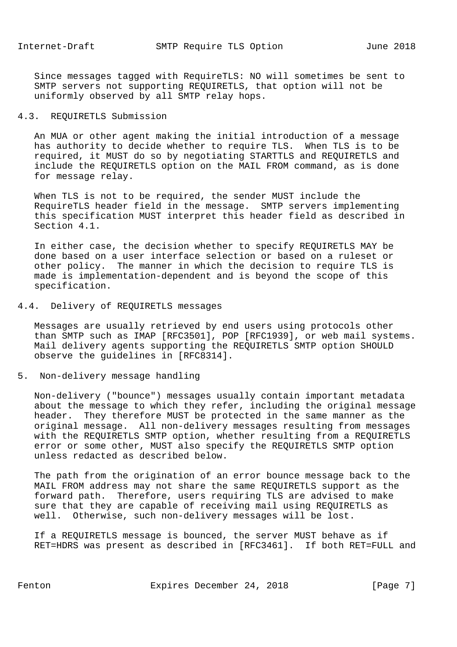Since messages tagged with RequireTLS: NO will sometimes be sent to SMTP servers not supporting REQUIRETLS, that option will not be uniformly observed by all SMTP relay hops.

### 4.3. REQUIRETLS Submission

 An MUA or other agent making the initial introduction of a message has authority to decide whether to require TLS. When TLS is to be required, it MUST do so by negotiating STARTTLS and REQUIRETLS and include the REQUIRETLS option on the MAIL FROM command, as is done for message relay.

 When TLS is not to be required, the sender MUST include the RequireTLS header field in the message. SMTP servers implementing this specification MUST interpret this header field as described in Section 4.1.

 In either case, the decision whether to specify REQUIRETLS MAY be done based on a user interface selection or based on a ruleset or other policy. The manner in which the decision to require TLS is made is implementation-dependent and is beyond the scope of this specification.

### 4.4. Delivery of REQUIRETLS messages

 Messages are usually retrieved by end users using protocols other than SMTP such as IMAP [RFC3501], POP [RFC1939], or web mail systems. Mail delivery agents supporting the REQUIRETLS SMTP option SHOULD observe the guidelines in [RFC8314].

# 5. Non-delivery message handling

 Non-delivery ("bounce") messages usually contain important metadata about the message to which they refer, including the original message header. They therefore MUST be protected in the same manner as the original message. All non-delivery messages resulting from messages with the REQUIRETLS SMTP option, whether resulting from a REQUIRETLS error or some other, MUST also specify the REQUIRETLS SMTP option unless redacted as described below.

 The path from the origination of an error bounce message back to the MAIL FROM address may not share the same REQUIRETLS support as the forward path. Therefore, users requiring TLS are advised to make sure that they are capable of receiving mail using REQUIRETLS as well. Otherwise, such non-delivery messages will be lost.

 If a REQUIRETLS message is bounced, the server MUST behave as if RET=HDRS was present as described in [RFC3461]. If both RET=FULL and

Fenton **Expires December 24, 2018** [Page 7]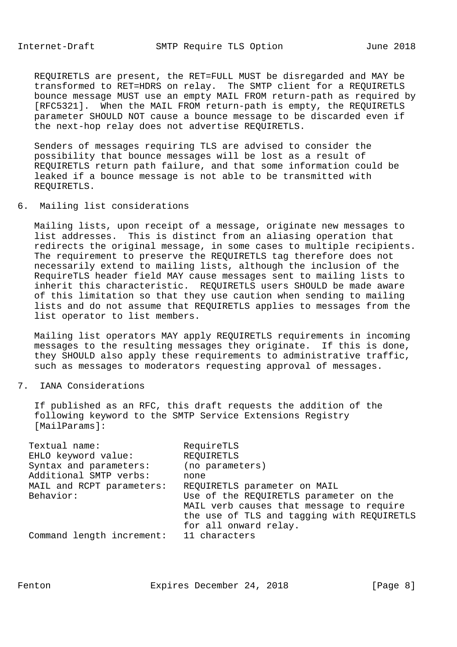REQUIRETLS are present, the RET=FULL MUST be disregarded and MAY be transformed to RET=HDRS on relay. The SMTP client for a REQUIRETLS bounce message MUST use an empty MAIL FROM return-path as required by [RFC5321]. When the MAIL FROM return-path is empty, the REQUIRETLS parameter SHOULD NOT cause a bounce message to be discarded even if the next-hop relay does not advertise REQUIRETLS.

 Senders of messages requiring TLS are advised to consider the possibility that bounce messages will be lost as a result of REQUIRETLS return path failure, and that some information could be leaked if a bounce message is not able to be transmitted with REQUIRETLS.

6. Mailing list considerations

 Mailing lists, upon receipt of a message, originate new messages to list addresses. This is distinct from an aliasing operation that redirects the original message, in some cases to multiple recipients. The requirement to preserve the REQUIRETLS tag therefore does not necessarily extend to mailing lists, although the inclusion of the RequireTLS header field MAY cause messages sent to mailing lists to inherit this characteristic. REQUIRETLS users SHOULD be made aware of this limitation so that they use caution when sending to mailing lists and do not assume that REQUIRETLS applies to messages from the list operator to list members.

 Mailing list operators MAY apply REQUIRETLS requirements in incoming messages to the resulting messages they originate. If this is done, they SHOULD also apply these requirements to administrative traffic, such as messages to moderators requesting approval of messages.

7. IANA Considerations

 If published as an RFC, this draft requests the addition of the following keyword to the SMTP Service Extensions Registry [MailParams]:

| Textual name:             | RequireTLS                                 |
|---------------------------|--------------------------------------------|
| EHLO keyword value:       | REQUIRETLS                                 |
| Syntax and parameters:    | (no parameters)                            |
| Additional SMTP verbs:    | none                                       |
| MAIL and RCPT parameters: | REQUIRETLS parameter on MAIL               |
| Behavior:                 | Use of the REQUIRETLS parameter on the     |
|                           | MAIL verb causes that message to require   |
|                           | the use of TLS and tagging with REQUIRETLS |
|                           | for all onward relay.                      |
| Command length increment: | 11 characters                              |
|                           |                                            |

Fenton Expires December 24, 2018 [Page 8]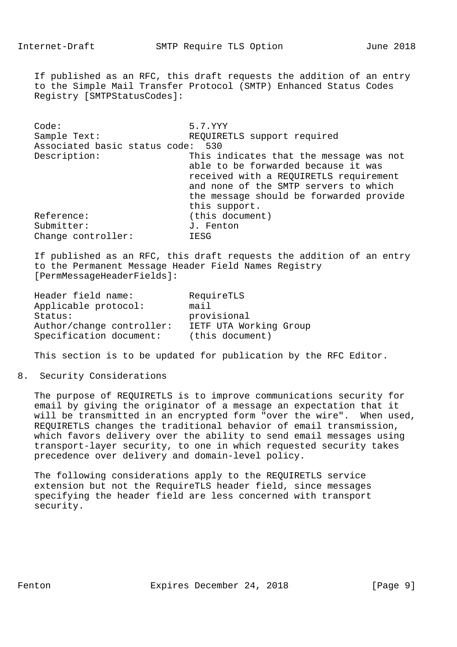If published as an RFC, this draft requests the addition of an entry to the Simple Mail Transfer Protocol (SMTP) Enhanced Status Codes Registry [SMTPStatusCodes]:

 Code: 5.7.YYY Sample Text: REQUIRETLS support required Associated basic status code: 530 Description: This indicates that the message was not able to be forwarded because it was received with a REQUIRETLS requirement and none of the SMTP servers to which the message should be forwarded provide this support. Reference: (this document) Submitter:  $J.$  Fenton Change controller: IESG

 If published as an RFC, this draft requests the addition of an entry to the Permanent Message Header Field Names Registry [PermMessageHeaderFields]:

| Header field name:        | RequireTLS             |
|---------------------------|------------------------|
| Applicable protocol:      | mail                   |
| Status:                   | provisional            |
| Author/change controller: | IETF UTA Working Group |
| Specification document:   | (this document)        |

This section is to be updated for publication by the RFC Editor.

#### 8. Security Considerations

 The purpose of REQUIRETLS is to improve communications security for email by giving the originator of a message an expectation that it will be transmitted in an encrypted form "over the wire". When used, REQUIRETLS changes the traditional behavior of email transmission, which favors delivery over the ability to send email messages using transport-layer security, to one in which requested security takes precedence over delivery and domain-level policy.

 The following considerations apply to the REQUIRETLS service extension but not the RequireTLS header field, since messages specifying the header field are less concerned with transport security.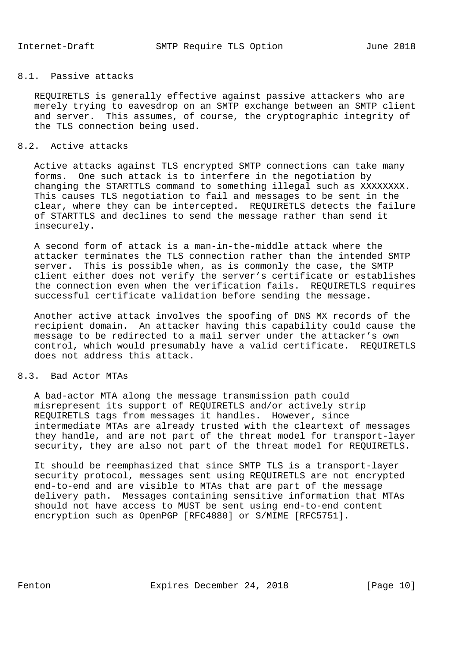## 8.1. Passive attacks

 REQUIRETLS is generally effective against passive attackers who are merely trying to eavesdrop on an SMTP exchange between an SMTP client and server. This assumes, of course, the cryptographic integrity of the TLS connection being used.

## 8.2. Active attacks

 Active attacks against TLS encrypted SMTP connections can take many forms. One such attack is to interfere in the negotiation by changing the STARTTLS command to something illegal such as XXXXXXXX. This causes TLS negotiation to fail and messages to be sent in the clear, where they can be intercepted. REQUIRETLS detects the failure of STARTTLS and declines to send the message rather than send it insecurely.

 A second form of attack is a man-in-the-middle attack where the attacker terminates the TLS connection rather than the intended SMTP server. This is possible when, as is commonly the case, the SMTP client either does not verify the server's certificate or establishes the connection even when the verification fails. REQUIRETLS requires successful certificate validation before sending the message.

 Another active attack involves the spoofing of DNS MX records of the recipient domain. An attacker having this capability could cause the message to be redirected to a mail server under the attacker's own control, which would presumably have a valid certificate. REQUIRETLS does not address this attack.

# 8.3. Bad Actor MTAs

 A bad-actor MTA along the message transmission path could misrepresent its support of REQUIRETLS and/or actively strip REQUIRETLS tags from messages it handles. However, since intermediate MTAs are already trusted with the cleartext of messages they handle, and are not part of the threat model for transport-layer security, they are also not part of the threat model for REQUIRETLS.

 It should be reemphasized that since SMTP TLS is a transport-layer security protocol, messages sent using REQUIRETLS are not encrypted end-to-end and are visible to MTAs that are part of the message delivery path. Messages containing sensitive information that MTAs should not have access to MUST be sent using end-to-end content encryption such as OpenPGP [RFC4880] or S/MIME [RFC5751].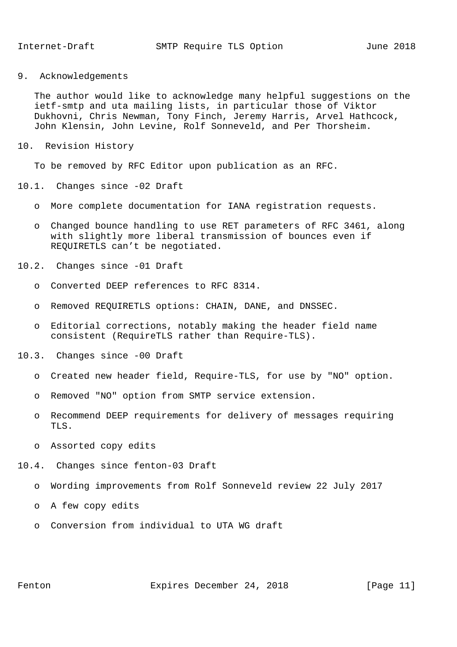9. Acknowledgements

 The author would like to acknowledge many helpful suggestions on the ietf-smtp and uta mailing lists, in particular those of Viktor Dukhovni, Chris Newman, Tony Finch, Jeremy Harris, Arvel Hathcock, John Klensin, John Levine, Rolf Sonneveld, and Per Thorsheim.

10. Revision History

To be removed by RFC Editor upon publication as an RFC.

- 10.1. Changes since -02 Draft
	- o More complete documentation for IANA registration requests.
	- o Changed bounce handling to use RET parameters of RFC 3461, along with slightly more liberal transmission of bounces even if REQUIRETLS can't be negotiated.
- 10.2. Changes since -01 Draft
	- o Converted DEEP references to RFC 8314.
	- o Removed REQUIRETLS options: CHAIN, DANE, and DNSSEC.
	- o Editorial corrections, notably making the header field name consistent (RequireTLS rather than Require-TLS).
- 10.3. Changes since -00 Draft
	- o Created new header field, Require-TLS, for use by "NO" option.
	- o Removed "NO" option from SMTP service extension.
	- o Recommend DEEP requirements for delivery of messages requiring TLS.
	- o Assorted copy edits
- 10.4. Changes since fenton-03 Draft
	- o Wording improvements from Rolf Sonneveld review 22 July 2017
	- o A few copy edits
	- o Conversion from individual to UTA WG draft

Fenton **Expires December 24, 2018** [Page 11]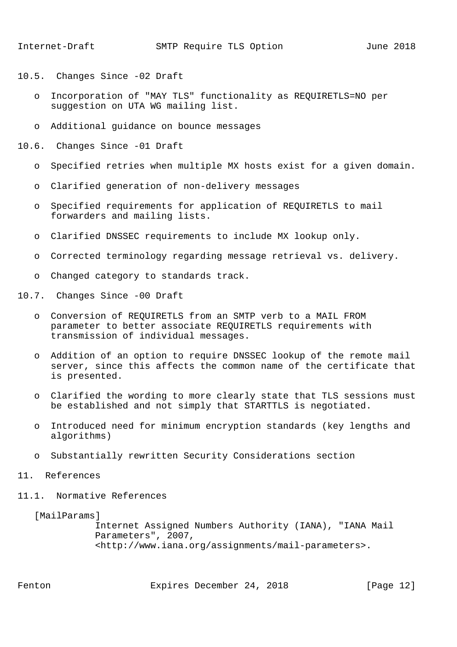- 10.5. Changes Since -02 Draft
	- o Incorporation of "MAY TLS" functionality as REQUIRETLS=NO per suggestion on UTA WG mailing list.
	- o Additional guidance on bounce messages
- 10.6. Changes Since -01 Draft
	- o Specified retries when multiple MX hosts exist for a given domain.
	- o Clarified generation of non-delivery messages
	- o Specified requirements for application of REQUIRETLS to mail forwarders and mailing lists.
	- o Clarified DNSSEC requirements to include MX lookup only.
	- o Corrected terminology regarding message retrieval vs. delivery.
	- o Changed category to standards track.
- 10.7. Changes Since -00 Draft
	- o Conversion of REQUIRETLS from an SMTP verb to a MAIL FROM parameter to better associate REQUIRETLS requirements with transmission of individual messages.
	- o Addition of an option to require DNSSEC lookup of the remote mail server, since this affects the common name of the certificate that is presented.
	- o Clarified the wording to more clearly state that TLS sessions must be established and not simply that STARTTLS is negotiated.
	- o Introduced need for minimum encryption standards (key lengths and algorithms)
	- o Substantially rewritten Security Considerations section
- 11. References
- 11.1. Normative References

[MailParams]

 Internet Assigned Numbers Authority (IANA), "IANA Mail Parameters", 2007, <http://www.iana.org/assignments/mail-parameters>.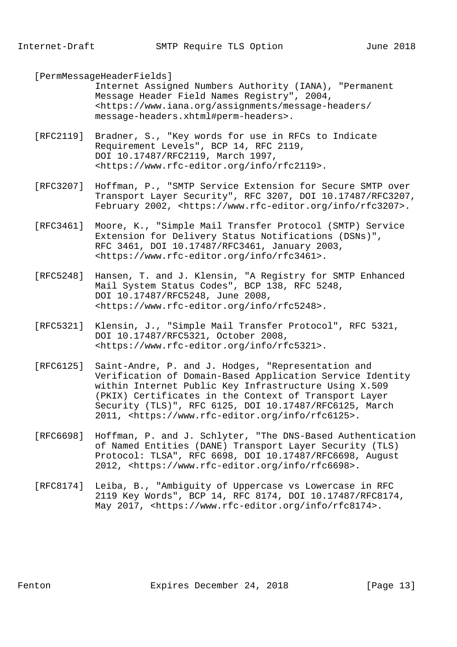[PermMessageHeaderFields]

 Internet Assigned Numbers Authority (IANA), "Permanent Message Header Field Names Registry", 2004, <https://www.iana.org/assignments/message-headers/ message-headers.xhtml#perm-headers>.

- [RFC2119] Bradner, S., "Key words for use in RFCs to Indicate Requirement Levels", BCP 14, RFC 2119, DOI 10.17487/RFC2119, March 1997, <https://www.rfc-editor.org/info/rfc2119>.
- [RFC3207] Hoffman, P., "SMTP Service Extension for Secure SMTP over Transport Layer Security", RFC 3207, DOI 10.17487/RFC3207, February 2002, <https://www.rfc-editor.org/info/rfc3207>.
- [RFC3461] Moore, K., "Simple Mail Transfer Protocol (SMTP) Service Extension for Delivery Status Notifications (DSNs)", RFC 3461, DOI 10.17487/RFC3461, January 2003, <https://www.rfc-editor.org/info/rfc3461>.
- [RFC5248] Hansen, T. and J. Klensin, "A Registry for SMTP Enhanced Mail System Status Codes", BCP 138, RFC 5248, DOI 10.17487/RFC5248, June 2008, <https://www.rfc-editor.org/info/rfc5248>.
- [RFC5321] Klensin, J., "Simple Mail Transfer Protocol", RFC 5321, DOI 10.17487/RFC5321, October 2008, <https://www.rfc-editor.org/info/rfc5321>.
- [RFC6125] Saint-Andre, P. and J. Hodges, "Representation and Verification of Domain-Based Application Service Identity within Internet Public Key Infrastructure Using X.509 (PKIX) Certificates in the Context of Transport Layer Security (TLS)", RFC 6125, DOI 10.17487/RFC6125, March 2011, <https://www.rfc-editor.org/info/rfc6125>.
- [RFC6698] Hoffman, P. and J. Schlyter, "The DNS-Based Authentication of Named Entities (DANE) Transport Layer Security (TLS) Protocol: TLSA", RFC 6698, DOI 10.17487/RFC6698, August 2012, <https://www.rfc-editor.org/info/rfc6698>.
- [RFC8174] Leiba, B., "Ambiguity of Uppercase vs Lowercase in RFC 2119 Key Words", BCP 14, RFC 8174, DOI 10.17487/RFC8174, May 2017, <https://www.rfc-editor.org/info/rfc8174>.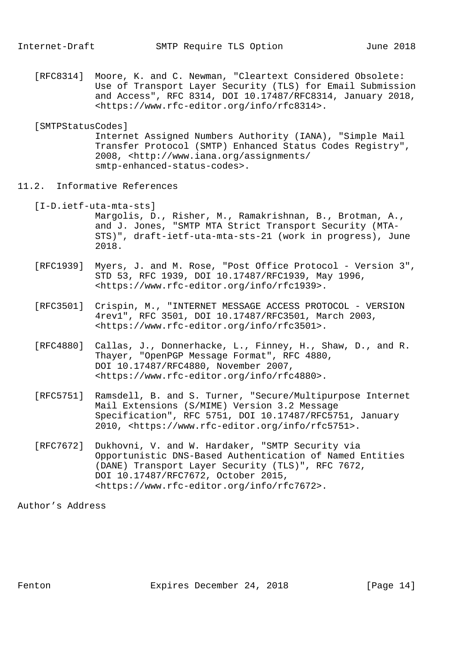[RFC8314] Moore, K. and C. Newman, "Cleartext Considered Obsolete: Use of Transport Layer Security (TLS) for Email Submission and Access", RFC 8314, DOI 10.17487/RFC8314, January 2018, <https://www.rfc-editor.org/info/rfc8314>.

## [SMTPStatusCodes]

 Internet Assigned Numbers Authority (IANA), "Simple Mail Transfer Protocol (SMTP) Enhanced Status Codes Registry", 2008, <http://www.iana.org/assignments/ smtp-enhanced-status-codes>.

- 11.2. Informative References
	- [I-D.ietf-uta-mta-sts]

 Margolis, D., Risher, M., Ramakrishnan, B., Brotman, A., and J. Jones, "SMTP MTA Strict Transport Security (MTA- STS)", draft-ietf-uta-mta-sts-21 (work in progress), June 2018.

- [RFC1939] Myers, J. and M. Rose, "Post Office Protocol Version 3", STD 53, RFC 1939, DOI 10.17487/RFC1939, May 1996, <https://www.rfc-editor.org/info/rfc1939>.
- [RFC3501] Crispin, M., "INTERNET MESSAGE ACCESS PROTOCOL VERSION 4rev1", RFC 3501, DOI 10.17487/RFC3501, March 2003, <https://www.rfc-editor.org/info/rfc3501>.
- [RFC4880] Callas, J., Donnerhacke, L., Finney, H., Shaw, D., and R. Thayer, "OpenPGP Message Format", RFC 4880, DOI 10.17487/RFC4880, November 2007, <https://www.rfc-editor.org/info/rfc4880>.
- [RFC5751] Ramsdell, B. and S. Turner, "Secure/Multipurpose Internet Mail Extensions (S/MIME) Version 3.2 Message Specification", RFC 5751, DOI 10.17487/RFC5751, January 2010, <https://www.rfc-editor.org/info/rfc5751>.
- [RFC7672] Dukhovni, V. and W. Hardaker, "SMTP Security via Opportunistic DNS-Based Authentication of Named Entities (DANE) Transport Layer Security (TLS)", RFC 7672, DOI 10.17487/RFC7672, October 2015, <https://www.rfc-editor.org/info/rfc7672>.

Author's Address